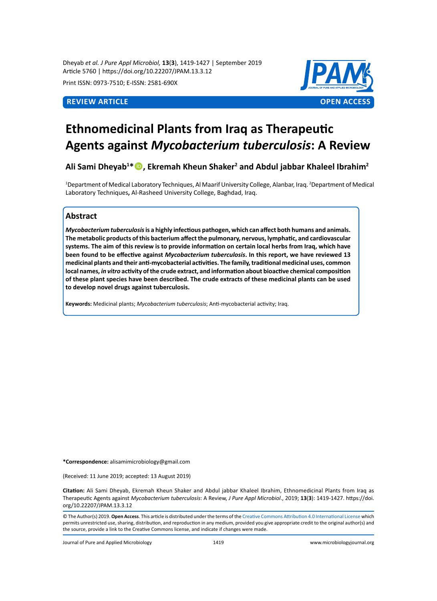Dheyab *et al. J Pure Appl Microbiol,* **13**(**3**), 1419-1427 | September 2019 Article 5760 | https://doi.org/10.22207/JPAM.13.3.12

Print ISSN: 0973-7510; E-ISSN: 2581-690X



# **Ethnomedicinal Plants from Iraq as Therapeutic Agents against** *Mycobacterium tuberculosis***: A Review**

# **Ali Sami Dheyab1 \*, Ekremah Kheun Shaker2 and Abdul jabbar Khaleel Ibrahim2**

<sup>1</sup>Department of Medical Laboratory Techniques, Al Maarif University College, Alanbar, Iraq. <sup>2</sup>Department of Medical Laboratory Techniques**,** Al-Rasheed University College, Baghdad, Iraq.

# **Abstract**

*Mycobacterium tuberculosis* **is a highly infectious pathogen, which can affect both humans and animals. The metabolic products of this bacterium affect the pulmonary, nervous, lymphatic, and cardiovascular systems. The aim of this review is to provide information on certain local herbs from Iraq, which have been found to be effective against** *Mycobacterium tuberculosis***. In this report, we have reviewed 13 medicinal plants and their anti-mycobacterial activities. The family, traditional medicinal uses, common local names,** *in vitro* **activity of the crude extract, and information about bioactive chemical composition of these plant species have been described. The crude extracts of these medicinal plants can be used to develop novel drugs against tuberculosis.** 

**Keywords:** Medicinal plants; *Mycobacterium tuberculosis*; Anti-mycobacterial activity; Iraq.

**\*Correspondence:** alisamimicrobiology@gmail.com

(Received: 11 June 2019; accepted: 13 August 2019)

**Citation:** Ali Sami Dheyab, Ekremah Kheun Shaker and Abdul jabbar Khaleel Ibrahim, Ethnomedicinal Plants from Iraq as Therapeutic Agents against *Mycobacterium tuberculosis*: A Review, *J Pure Appl Microbiol*., 2019; **13**(**3**): 1419-1427. https://doi. org/10.22207/JPAM.13.3.12

© The Author(s) 2019. **Open Access**. This article is distributed under the terms of the [Creative Commons Attribution 4.0 International License](https://creativecommons.org/licenses/by/4.0/) which permits unrestricted use, sharing, distribution, and reproduction in any medium, provided you give appropriate credit to the original author(s) and the source, provide a link to the Creative Commons license, and indicate if changes were made.

Journal of Pure and Applied Microbiology 1419 www.microbiologyjournal.org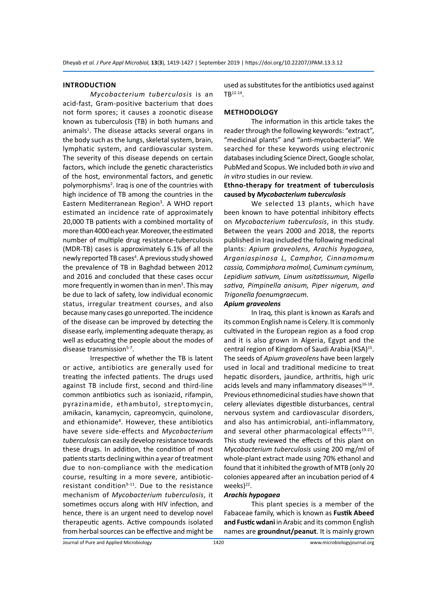# **INTRODUCTION**

*Mycobacterium tuberculosis* is an acid-fast, Gram-positive bacterium that does not form spores; it causes a zoonotic disease known as tuberculosis (TB) in both humans and animals<sup>1</sup>. The disease attacks several organs in the body such as the lungs, skeletal system, brain, lymphatic system, and cardiovascular system. The severity of this disease depends on certain factors, which include the genetic characteristics of the host, environmental factors, and genetic polymorphisms<sup>2</sup>. Iraq is one of the countries with high incidence of TB among the countries in the Eastern Mediterranean Region<sup>3</sup>. A WHO report estimated an incidence rate of approximately 20,000 TB patients with a combined mortality of more than 4000 each year. Moreover, the estimated number of multiple drug resistance-tuberculosis (MDR-TB) cases is approximately 6.1% of all the newly reported TB cases<sup>4</sup>. A previous study showed the prevalence of TB in Baghdad between 2012 and 2016 and concluded that these cases occur more frequently in women than in men<sup>3</sup>. This may be due to lack of safety, low individual economic status, irregular treatment courses, and also because many cases go unreported. The incidence of the disease can be improved by detecting the disease early, implementing adequate therapy, as well as educating the people about the modes of disease transmission<sup>5-7</sup>.

Irrespective of whether the TB is latent or active, antibiotics are generally used for treating the infected patients. The drugs used against TB include first, second and third-line common antibiotics such as isoniazid, rifampin, pyrazinamide, ethambutol, streptomycin, amikacin, kanamycin, capreomycin, quinolone, and ethionamide<sup>8</sup>. However, these antibiotics have severe side-effects and *Mycobacterium tuberculosis* can easily develop resistance towards these drugs. In addition, the condition of most patients starts declining within a year of treatment due to non-compliance with the medication course, resulting in a more severe, antibioticresistant condition $9-11$ . Due to the resistance mechanism of *Mycobacterium tuberculosis*, it sometimes occurs along with HIV infection, and hence, there is an urgent need to develop novel therapeutic agents. Active compounds isolated from herbal sources can be effective and might be

used as substitutes for the antibiotics used against  $TR^{12-14}$ .

# **METHODOLOGY**

The information in this article takes the reader through the following keywords: "extract", "medicinal plants" and "anti-mycobacterial". We searched for these keywords using electronic databases including Science Direct, Google scholar, PubMed and Scopus. We included both *in vivo* and *in vitro* studies in our review*.*

# **Ethno-therapy for treatment of tuberculosis caused by** *Mycobacterium tuberculosis*

We selected 13 plants, which have been known to have potential inhibitory effects on *Mycobacterium tuberculosis*, in this study. Between the years 2000 and 2018, the reports published in Iraq included the following medicinal plants: *Apium graveolens, Arachis hypogaea, Arganiaspinosa L, Camphor, Cinnamomum cassia, Commiphora molmol, Cuminum cyminum, Lepidium sativum, Linum usitatissumun, Nigella sativa, Pimpinella anisum, Piper nigerum, and Trigonella foenumgraecum.*

# *Apium graveolens*

In Iraq, this plant is known as Karafs and its common English name is Celery. It is commonly cultivated in the European region as a food crop and it is also grown in Algeria, Egypt and the central region of Kingdom of Saudi Arabia (KSA)<sup>15</sup>. The seeds of *Apium graveolens* have been largely used in local and traditional medicine to treat hepatic disorders, jaundice, arthritis, high uric acids levels and many inflammatory diseases $16-18$ . Previous ethnomedicinal studies have shown that celery alleviates digestible disturbances, central nervous system and cardiovascular disorders, and also has antimicrobial, anti-inflammatory, and several other pharmacological effects<sup>19-21</sup>. This study reviewed the effects of this plant on *Mycobacterium tuberculosis* using 200 mg/ml of whole-plant extract made using 70% ethanol and found that it inhibited the growth of MTB (only 20 colonies appeared after an incubation period of 4 weeks $)^{22}$ .

### *Arachis hypogaea*

This plant species is a member of the Fabaceae family, which is known as **Fustik Abeed and Fustic wdani** in Arabic and its common English names are **groundnut/peanut**. It is mainly grown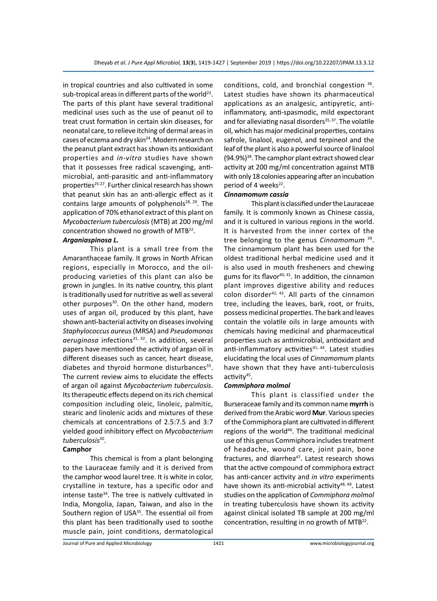in tropical countries and also cultivated in some sub-tropical areas in different parts of the world<sup>23</sup>. The parts of this plant have several traditional medicinal uses such as the use of peanut oil to treat crust formation in certain skin diseases, for neonatal care, to relieve itching of dermal areas in cases of eczema and dry skin<sup>24</sup>. Modern research on the peanut plant extract has shown its antioxidant properties and *in-vitro* studies have shown that it possesses free radical scavenging, antimicrobial, anti-parasitic and anti-inflammatory properties<sup>25-27</sup>. Further clinical research has shown that peanut skin has an anti-allergic effect as it contains large amounts of polyphenols $28, 29$ . The application of 70% ethanol extract of this plant on *Mycobacterium tuberculosis* (MTB) at 200 mg/ml concentration showed no growth of MTB22.

# *Arganiaspinosa L.*

This plant is a small tree from the Amaranthaceae family. It grows in North African regions, especially in Morocco, and the oilproducing varieties of this plant can also be grown in jungles. In its native country, this plant is traditionally used for nutritive as well as several other purposes<sup>30</sup>. On the other hand, modern uses of argan oil, produced by this plant, have shown anti-bacterial activity on diseases involving *Staphylococcus aureus* (MRSA) and *Pseudomonas*  aeruginosa infections<sup>31, 32</sup>. In addition, several papers have mentioned the activity of argan oil in different diseases such as cancer, heart disease, diabetes and thyroid hormone disturbances<sup>33</sup>. The current review aims to elucidate the effects of argan oil against *Mycobacterium tuberculosis*. Its therapeutic effects depend on its rich chemical composition including oleic, linoleic, palmitic, stearic and linolenic acids and mixtures of these chemicals at concentrations of 2.5:7.5 and 3:7 yielded good inhibitory effect on *Mycobacterium tuberculosis*30.

# **Camphor**

This chemical is from a plant belonging to the Lauraceae family and it is derived from the camphor wood laurel tree. It is white in color, crystalline in texture, has a specific odor and intense taste $34$ . The tree is natively cultivated in India, Mongolia, Japan, Taiwan, and also in the Southern region of USA<sup>35</sup>. The essential oil from this plant has been traditionally used to soothe muscle pain, joint conditions, dermatological conditions, cold, and bronchial congestion <sup>36</sup>. Latest studies have shown its pharmaceutical applications as an analgesic, antipyretic, antiinflammatory, anti-spasmodic, mild expectorant and for alleviating nasal disorders $35, 37$ . The volatile oil, which has major medicinal properties, contains safrole, linalool, eugenol, and terpineol and the leaf of the plant is also a powerful source of linalool  $(94.9%)^{38}$ . The camphor plant extract showed clear activity at 200 mg/ml concentration against MTB with only 18 colonies appearing after an incubation period of 4 weeks<sup>22</sup>.

# *Cinnamomum cassia*

This plant is classified under the Lauraceae family. It is commonly known as Chinese cassia, and it is cultured in various regions in the world. It is harvested from the inner cortex of the tree belonging to the genus *Cinnamomum* 39. The cinnamomum plant has been used for the oldest traditional herbal medicine used and it is also used in mouth fresheners and chewing gums for its flavor<sup>40, 41</sup>. In addition, the cinnamon plant improves digestive ability and reduces colon disorder<sup>42, 43</sup>. All parts of the cinnamon tree, including the leaves, bark, root, or fruits, possess medicinal properties. The bark and leaves contain the volatile oils in large amounts with chemicals having medicinal and pharmaceutical properties such as antimicrobial, antioxidant and anti-inflammatory activities<sup>41, 44</sup>. Latest studies elucidating the local uses of *Cinnamomum* plants have shown that they have anti-tuberculosis activity $45$ .

#### *Commiphora molmol*

This plant is classified under the Burseraceae family and its common name **myrrh** is derived from the Arabic word **Mur**. Various species of the Commiphora plant are cultivated in different regions of the world<sup>46</sup>. The traditional medicinal use of this genus Commiphora includes treatment of headache, wound care, joint pain, bone fractures, and diarrhea<sup>47</sup>. Latest research shows that the active compound of commiphora extract has anti-cancer activity and *in vitro* experiments have shown its anti-microbial activity $48, 49$ . Latest studies on the application of *Commiphora molmol* in treating tuberculosis have shown its activity against clinical isolated TB sample at 200 mg/ml concentration, resulting in no growth of MTB22.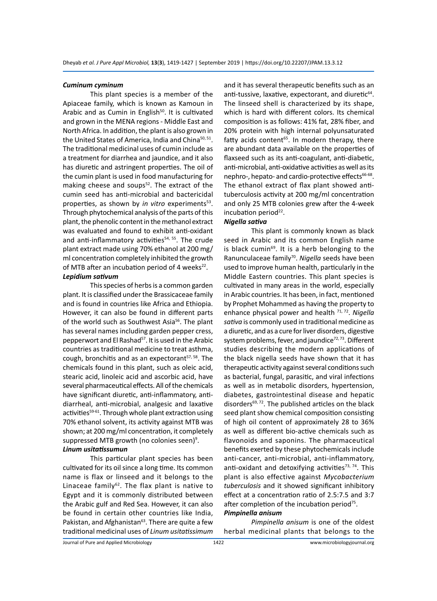# *Cuminum cyminum*

This plant species is a member of the Apiaceae family, which is known as Kamoun in Arabic and as Cumin in English<sup>50</sup>. It is cultivated and grown in the MENA regions - Middle East and North Africa. In addition, the plant is also grown in the United States of America, India and China<sup>50, 51</sup>. The traditional medicinal uses of cumin include as a treatment for diarrhea and jaundice, and it also has diuretic and astringent properties. The oil of the cumin plant is used in food manufacturing for making cheese and soups $52$ . The extract of the cumin seed has anti-microbial and bactericidal properties, as shown by *in vitro* experiments<sup>53</sup>. Through phytochemical analysis of the parts of this plant, the phenolic content in the methanol extract was evaluated and found to exhibit anti-oxidant and anti-inflammatory activities $54$ ,  $55$ . The crude plant extract made using 70% ethanol at 200 mg/ ml concentration completely inhibited the growth of MTB after an incubation period of 4 weeks $^{22}$ .

# *Lepidium sativum*

This species of herbs is a common garden plant. It is classified under the Brassicaceae family and is found in countries like Africa and Ethiopia. However, it can also be found in different parts of the world such as Southwest Asia<sup>56</sup>. The plant has several names including garden pepper cress, pepperwort and El Rashad<sup>57</sup>. It is used in the Arabic countries as traditional medicine to treat asthma, cough, bronchitis and as an expectorant $57, 58$ . The chemicals found in this plant, such as oleic acid, stearic acid, linoleic acid and ascorbic acid, have several pharmaceutical effects. All of the chemicals have significant diuretic, anti-inflammatory, antidiarrheal, anti-microbial, analgesic and laxative activities<sup>59-61</sup>. Through whole plant extraction using 70% ethanol solvent, its activity against MTB was shown; at 200 mg/ml concentration, it completely suppressed MTB growth (no colonies seen)<sup>9</sup>. *Linum usitatissumun*

This particular plant species has been cultivated for its oil since a long time. Its common name is flax or linseed and it belongs to the Linaceae family<sup>62</sup>. The flax plant is native to Egypt and it is commonly distributed between the Arabic gulf and Red Sea. However, it can also be found in certain other countries like India, Pakistan, and Afghanistan<sup>63</sup>. There are quite a few traditional medicinal uses of *Linum usitatissimum* and it has several therapeutic benefits such as an anti-tussive, laxative, expectorant, and diuretic<sup>64</sup>. The linseed shell is characterized by its shape, which is hard with different colors. Its chemical composition is as follows: 41% fat, 28% fiber, and 20% protein with high internal polyunsaturated fatty acids content<sup>65</sup>. In modern therapy, there are abundant data available on the properties of flaxseed such as its anti-coagulant, anti-diabetic, anti-microbial, anti-oxidative activities as well as its nephro-, hepato- and cardio-protective effects<sup>66-68</sup>. The ethanol extract of flax plant showed antituberculosis activity at 200 mg/ml concentration and only 25 MTB colonies grew after the 4-week incubation period<sup>22</sup>.

# *Nigella sativa*

This plant is commonly known as black seed in Arabic and its common English name is black cumin $69$ . It is a herb belonging to the Ranunculaceae family<sup>70</sup>. Nigella seeds have been used to improve human health, particularly in the Middle Eastern countries. This plant species is cultivated in many areas in the world, especially in Arabic countries. It has been, in fact, mentioned by Prophet Mohammed as having the property to enhance physical power and health 71, 72. *Nigella sativa* is commonly used in traditional medicine as a diuretic, and as a cure for liver disorders, digestive system problems, fever, and jaundice<sup>72, 73</sup>. Different studies describing the modern applications of the black nigella seeds have shown that it has therapeutic activity against several conditions such as bacterial, fungal, parasitic, and viral infections as well as in metabolic disorders, hypertension, diabetes, gastrointestinal disease and hepatic disorders $69, 72$ . The published articles on the black seed plant show chemical composition consisting of high oil content of approximately 28 to 36% as well as different bio-active chemicals such as flavonoids and saponins. The pharmaceutical benefits exerted by these phytochemicals include anti-cancer, anti-microbial, anti-inflammatory, anti-oxidant and detoxifying activities<sup>73, 74</sup>. This plant is also effective against *Mycobacterium tuberculosis* and it showed significant inhibitory effect at a concentration ratio of 2.5:7.5 and 3:7 after completion of the incubation period<sup>75</sup>.

# *Pimpinella anisum*

*Pimpinella anisum* is one of the oldest herbal medicinal plants that belongs to the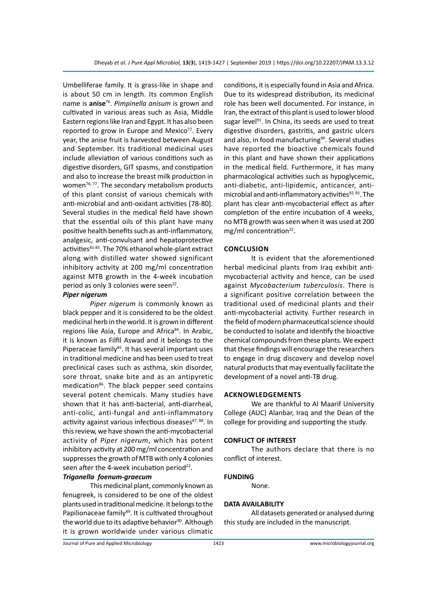Umbelliferae family. It is grass-like in shape and is about 50 cm in length. Its common English name is **anise**<sup>76</sup>. *Pimpinella anisum* is grown and cultivated in various areas such as Asia, Middle Eastern regions like Iran and Egypt. It has also been reported to grow in Europe and Mexico<sup>77</sup>. Every year, the anise fruit is harvested between August and September. Its traditional medicinal uses include alleviation of various conditions such as digestive disorders, GIT spasms, and constipation and also to increase the breast milk production in women $76, 77$ . The secondary metabolism products of this plant consist of various chemicals with anti-microbial and anti-oxidant activities [78-80]. Several studies in the medical field have shown that the essential oils of this plant have many positive health benefits such as anti-inflammatory, analgesic, anti-convulsant and hepatoprotective activities<sup>81-83</sup>. The 70% ethanol whole-plant extract along with distilled water showed significant inhibitory activity at 200 mg/ml concentration against MTB growth in the 4-week incubation period as only 3 colonies were seen $^{22}$ .

# *Piper nigerum*

*Piper nigerum* is commonly known as black pepper and it is considered to be the oldest medicinal herb in the world. It is grown in different regions like Asia, Europe and Africa<sup>84</sup>. In Arabic, it is known as Filfil Aswad and it belongs to the Piperaceae family<sup>85</sup>. It has several important uses in traditional medicine and has been used to treat preclinical cases such as asthma, skin disorder, sore throat, snake bite and as an antipyretic medication<sup>86</sup>. The black pepper seed contains several potent chemicals. Many studies have shown that it has anti-bacterial, anti-diarrheal, anti-colic, anti-fungal and anti-inflammatory activity against various infectious diseases<sup>87, 88</sup>. In this review, we have shown the anti-mycobacterial activity of *Piper nigerum*, which has potent inhibitory activity at 200 mg/ml concentration and suppresses the growth of MTB with only 4 colonies seen after the 4-week incubation period $22$ .

# *Trigonella foenum-graecum*

This medicinal plant, commonly known as fenugreek, is considered to be one of the oldest plants used in traditional medicine. It belongs to the Papilionaceae family<sup>89</sup>. It is cultivated throughout the world due to its adaptive behavior<sup>90</sup>. Although it is grown worldwide under various climatic conditions, it is especially found in Asia and Africa. Due to its widespread distribution, its medicinal role has been well documented. For instance, in Iran, the extract of this plant is used to lower blood sugar level<sup>91</sup>. In China, its seeds are used to treat digestive disorders, gastritis, and gastric ulcers and also, in food manufacturing<sup>90</sup>. Several studies have reported the bioactive chemicals found in this plant and have shown their applications in the medical field. Furthermore, it has many pharmacological activities such as hypoglycemic, anti-diabetic, anti-lipidemic, anticancer, antimicrobial and anti-inflammatory activities $92, 93$ . The plant has clear anti-mycobacterial effect as after completion of the entire incubation of 4 weeks, no MTB growth was seen when it was used at 200 mg/ml concentration<sup>22</sup>.

# **CONCLUSION**

It is evident that the aforementioned herbal medicinal plants from Iraq exhibit antimycobacterial activity and hence, can be used against *Mycobacterium tuberculosis*. There is a significant positive correlation between the traditional used of medicinal plants and their anti-mycobacterial activity. Further research in the field of modern pharmaceutical science should be conducted to isolate and identify the bioactive chemical compounds from these plants. We expect that these findings will encourage the researchers to engage in drug discovery and develop novel natural products that may eventually facilitate the development of a novel anti-TB drug.

# **Acknowledgements**

We are thankful to Al Maarif University College (AUC) Alanbar, Iraq and the Dean of the college for providing and supporting the study.

#### **CONFLICT OF INTEREST**

The authors declare that there is no conflict of interest.

# **FUNDING**

None.

# **DATA AVAILABILITY**

All datasets generated or analysed during this study are included in the manuscript.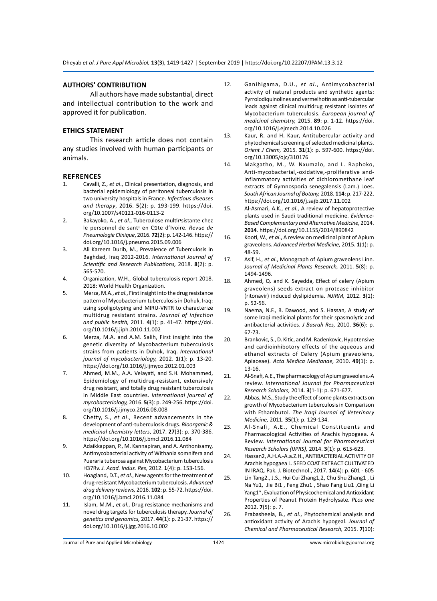# **AUTHORS' CONTRIBUTION**

All authors have made substantial, direct and intellectual contribution to the work and approved it for publication.

# **ETHICS STATEMENT**

This research article does not contain any studies involved with human participants or animals.

## **REFRENCES**

- 1. Cavalli, Z., *et al*., Clinical presentation, diagnosis, and bacterial epidemiology of peritoneal tuberculosis in two university hospitals in France. *Infectious diseases and therapy*, 2016. **5**(2): p. 193-199. https://doi. org/10.1007/s40121-016-0113-2
- 2. Bakayoko, A., *et al*., Tuberculose multirיsistante chez le personnel de santי en Cפte d'Ivoire. *Revue de Pneumologie Clinique*, 2016. **72**(2): p. 142-146. https:// doi.org/10.1016/j.pneumo.2015.09.006
- 3. Ali Kareem Durib, M., Prevalence of Tuberculosis in Baghdad, Iraq 2012-2016. *International Journal of Scientific and Research Publications,* 2018. **8**(2): p. 565-570.
- 4. Organization, W.H., Global tuberculosis report 2018. 2018: World Health Organization.
- 5. Merza, M.A., *et al*., First insight into the drug resistance pattern of Mycobacterium tuberculosis in Dohuk, Iraq: using spoligotyping and MIRU-VNTR to characterize multidrug resistant strains. *Journal of infection and public health,* 2011. **4**(1): p. 41-47. https://doi. org/10.1016/j.jiph.2010.11.002
- 6. Merza, M.A. and A.M. Salih, First insight into the genetic diversity of Mycobacterium tuberculosis strains from patients in Duhok, Iraq. *International journal of mycobacteriology,* 2012. **1**(1): p. 13-20. https://doi.org/10.1016/j.ijmyco.2012.01.003
- 7. Ahmed, M.M., A.A. Velayati, and S.H. Mohammed, Epidemiology of multidrug-resistant, extensively drug resistant, and totally drug resistant tuberculosis in Middle East countries. *International journal of mycobacteriology,* 2016. **5**(3): p. 249-256. https://doi. org/10.1016/j.ijmyco.2016.08.008
- 8. Chetty, S., *et al*., Recent advancements in the development of anti-tuberculosis drugs. *Bioorganic & medicinal chemistry letters*, 2017. **27**(3): p. 370-386. https://doi.org/10.1016/j.bmcl.2016.11.084
- 9. Adaikkappan, P., M. Kannapiran, and A. Anthonisamy, Antimycobacterial activity of Withania somnifera and Pueraria tuberosa against Mycobacterium tuberculosis H37Rv. *J. Acad. Indus. Res,* 2012. **1**(4): p. 153-156.
- 10. Hoagland, D.T., *et al*., New agents for the treatment of drug-resistant Mycobacterium tuberculosis. *Advanced drug delivery reviews,* 2016. **102**: p. 55-72. https://doi. org/10.1016/j.bmcl.2016.11.084
- 11. Islam, M.M., *et al*., Drug resistance mechanisms and novel drug targets for tuberculosis therapy. *Journal of genetics and genomics,* 2017. **44**(1): p. 21-37. https:// doi.org/10.1016/j.jgg.2016.10.002
- 12. Ganihigama, D.U., *et al*., Antimycobacterial activity of natural products and synthetic agents: Pyrrolodiquinolines and vermelhotin as anti-tubercular leads against clinical multidrug resistant isolates of Mycobacterium tuberculosis. *European journal of medicinal chemistry,* 2015. **89**: p. 1-12. https://doi. org/10.1016/j.ejmech.2014.10.026
- 13. Kaur, R. and H. Kaur, Antitubercular activity and phytochemical screening of selected medicinal plants. *Orient J Chem,* 2015. **31**(1): p. 597-600. https://doi. org/10.13005/ojc/310176
- 14. Makgatho, M., W. Nxumalo, and L. Raphoko, Anti-mycobacterial,-oxidative,-proliferative andinflammatory activities of dichloromethane leaf extracts of Gymnosporia senegalensis (Lam.) Loes. *South African Journal of Botany,* 2018. **114**: p. 217-222. https://doi.org/10.1016/j.sajb.2017.11.002
- 15. Al-Asmari, A.K., *et al*., A review of hepatoprotective plants used in Saudi traditional medicine. *Evidence-Based Complementary and Alternative Medicine,* 2014. **2014**. https://doi.org/10.1155/2014/890842
- 16. Kooti, W., *et al*., A review on medicinal plant of Apium graveolens. *Advanced Herbal Medicine,* 2015. **1**(1): p. 48-59.
- 17. Asif, H., *et al*., Monograph of Apium graveolens Linn. *Journal of Medicinal Plants Research,* 2011. **5**(8): p. 1494-1496.
- 18. Ahmed, Q. and K. Sayedda, Effect of celery (Apium graveolens) seeds extract on protease inhibitor (ritonavir) induced dyslipidemia. *NJIRM,* 2012. **3**(1): p. 52-56.
- 19. Naema, N.F., B. Dawood, and S. Hassan, A study of some Iraqi medicinal plants for their spasmolytic and antibacterial activities. *J Basrah Res,* 2010. **36**(6): p. 67-73.
- 20. Brankovic, S., D. Kitic, and M. Radenkovic, Hypotensive and cardioinhibotory effects of the aqueous and ethanol extracts of Celery (Apium graveolens, Apiaceae). *Acta Medica Medianae,* 2010. **49**(1): p. 13-16.
- 21. Al-Snafi, A.E., The pharmacology of Apium graveolens.-A review. *International Journal for Pharmaceutical Research Scholars,* 2014. **3**(1-1): p. 671-677.
- 22. Abbas, M.S., Study the effect of some plants extracts on growth of Mycobacterium tuberculosis in Comparison with Ethambutol. *The Iraqi Journal of Veterinary Medicine,* 2011. **35**(1): p. 129-134.
- 23. Al-Snafi, A.E., Chemical Constituents and Pharmacological Activities of Arachis hypogaea. A Review. *International Journal for Pharmaceutical Research Scholars (IJPRS),* 2014. **3**(1): p. 615-623.
- 24. Hassan2, A.H.A.-A.a.Z.H., ANTIBACTERIAL ACTIVITY OF Arachis hypogaea L. SEED COAT EXTRACT CULTIVATED IN IRAQ. Pak. J. Biotechnol., 2017. **14**(4): p. 601 - 605
- 25. Lin Tang2., J.S., Hui Cui Zhang1,2, Chu Shu Zhang1 , Li Na Yu1, Jie Bi1 , Feng Zhu1 , Shao Fang Liu1 ,Qing Li Yang1\*, Evaluation of Physicochemical and Antioxidant Properties of Peanut Protein Hydrolysate. *PLos one*  2012. **7**(5): p. 7.
- 26. Prabasheela, B., *et al*., Phytochemical analysis and antioxidant activity of Arachis hypogeal. *Journal of Chemical and Pharmaceutical Research,* 2015. **7**(10):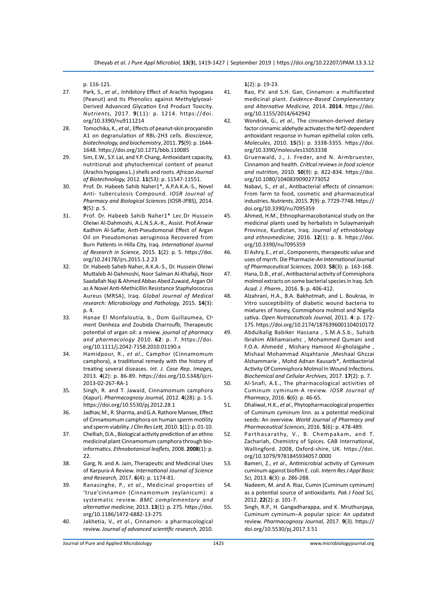p. 116-121.

- 27. Park, S., *et al*., Inhibitory Effect of Arachis hypogaea (Peanut) and Its Phenolics against Methylglyoxal-Derived Advanced Glycation End Product Toxicity. *Nutrients,* 2017. **9**(11): p. 1214. https://doi. org/10.3390/nu9111214
- 28. Tomochika, K., *et al*., Effects of peanut-skin procyanidin A1 on degranulation of RBL-2H3 cells. *Bioscience, biotechnology, and biochemistry*, 2011. **75**(9): p. 1644- 1648. https://doi.org/10.1271/bbb.110085
- 29. Sim, E.W., S.Y. Lai, and Y.P. Chang, Antioxidant capacity, nutritional and phytochemical content of peanut (Arachis hypogaea L.) shells and roots. *African Journal of Biotechnology,* 2012. **11**(53): p. 11547-11551.
- 30. Prof. Dr. Habeeb Sahib Naher1\*, A.P.A.K.A.-S., Novel Anti- tuberculosis Compound. *IOSR Journal of Pharmacy and Biological Sciences* (IOSR-JPBS), 2014. **9**(5): p. 5.
- 31. Prof. Dr. Habeeb Sahib Naher1\* Lec.Dr Hussein Oleiwi Al-Dahmoshi, A.L.N.S.A.-K., Assist. Prof.Anwar Kadhim Al-Saffar, Anti-Pseudomonal Effect of Argan Oil on Pseudomonas aeruginosa Recovered from Burn Patients in Hilla City, Iraq. *International Journal of Research in Science,* 2015. **1**(2): p. 5. https://doi. org/10.24178/ijrs.2015.1.2.23
- 32. Dr. Habeeb Saheb Naher, A.K.A.-S., Dr. Hussein Oleiwi Muttaleb Al-Dahmoshi, Noor Salman Al-Khafaji, Noor Saadallah Naji & Ahmed Abbas Abed Zuwaid, Argan Oil as A Novel Anti-Methicillin Resistance Staphylococcus Aureus (MRSA), Iraq. *Global Journal of Medical research: Microbiology and Pathology,* 2015. **14**(3): p. 4.
- 33. Hanae El Monfaloutia, b., Dom Guillaumea, Clי ment Denheza and Zoubida Charroufb, Therapeutic potential of argan oil: a review. *journal of pharmacy and pharmacology* 2010. **62**: p. 7. https://doi. org/10.1111/j.2042-7158.2010.01190.x
- 34. Hamidpour, R., *et al*., Camphor (Cinnamomum camphora), a traditional remedy with the history of treating several diseases. *Int. J. Case Rep. Images,*  2013. **4**(2): p. 86-89. https://doi.org/10.5348/ijcri-2013-02-267-RA-1
- 35. Singh, R. and T. Jawaid, Cinnamomum camphora (Kapur). *Pharmacognosy Journal,* 2012. **4**(28): p. 1-5. https://doi.org/10.5530/pj.2012.28.1
- 36. Jadhav, M., R. Sharma, and G.A. Rathore Mansee, Effect of Cinnamomum camphora on human sperm motility and sperm viability. *J Clin Res Lett,* 2010. **1**(1): p. 01-10.
- 37. Chelliah, D.A., Biological activity prediction of an ethno medicinal plant Cinnamomum camphora through bioinformatics. *Ethnobotanical leaflets,* 2008. **2008**(1): p. 22.
- 38. Garg, N. and A. Jain, Therapeutic and Medicinal Uses of Karpura-A Review. *International Journal of Science and Research,* 2017. **6**(4): p. 1174-81.
- 39. Ranasinghe, P., *et al*., Medicinal properties of 'true'cinnamon (Cinnamomum zeylanicum): a systematic review. *BMC complementary and alternative medicine,* 2013. **13**(1): p. 275. https://doi. org/10.1186/1472-6882-13-275
- 40. Jakhetia, V., *et al*., Cinnamon: a pharmacological review. *Journal of advanced scientific research,* 2010.

**1**(2): p. 19-23.

- 41. Rao, P.V. and S.H. Gan, Cinnamon: a multifaceted medicinal plant. *Evidence-Based Complementary and Alternative Medicine,* 2014. **2014**. https://doi. org/10.1155/2014/642942
- 42. Wondrak, G., *et al*., The cinnamon-derived dietary factor cinnamic aldehyde activates the Nrf2-dependent antioxidant response in human epithelial colon cells*. Molecules,* 2010. **15**(5): p. 3338-3355. https://doi. org/10.3390/molecules15053338
- 43. Gruenwald, J., J. Freder, and N. Armbruester, Cinnamon and health. *Critical reviews in food science and nutrition,* 2010. **50**(9): p. 822-834. https://doi. org/10.1080/10408390902773052
- 44. Nabavi, S., *et al*., Antibacterial effects of cinnamon: From farm to food, cosmetic and pharmaceutical industries. *Nutrients,* 2015. **7**(9): p. 7729-7748. https:// doi.org/10.3390/nu7095359
- 45. Ahmed, H.M., Ethnopharmacobotanical study on the medicinal plants used by herbalists in Sulaymaniyah Province, Kurdistan, Iraq. *Journal of ethnobiology and ethnomedicine,* 2016. **12**(1): p. 8. https://doi. org/10.3390/nu7095359
- 46. El Ashry, E., *et al*., Components, therapeutic value and uses of myrrh. Die Pharmazie-*An International Journal of Pharmaceutical Sciences,* 2003. **58**(3): p. 163-168.
- 47. Hana, D.B., *et al*., Antibacterial activity of Commiphora molmol extracts on some bacterial species in Iraq. *Sch. Acad. J. Pharm.,* 2016. **5**: p. 406-412.
- 48. Alzahrani, H.A., B.A. Bakhotmah, and L. Boukraa, In Vitro susceptibility of diabetic wound bacteria to mixtures of honey, Commiphora molmol and Nigella sativa. *Open Nutraceuticals Journal,* 2011. **4**: p. 172- 175. https://doi.org/10.2174/1876396001104010172
- 49. Abdulkalig Babiker Hassana , S.M.A.S.b., Suhaib Ibrahim Alkhamaisehc , Mohammed Qumani and F.O.A. Ahmedd , Mishary Hamood Al-gholaigahe , Mishaal Mohammad Alqahtanie ,Meshaal Ghzzai Alshammarie , Mohd Adnan Kausarb\*, Antibacterial Activity Of Commiphora Molmol In Wound Infections. *Biochemical and Cellular Archives,* 2017. **17**(2): p. 7.
- 50. Al-Snafi, A.E., The pharmacological activities of Cuminum cyminum-A review. *IOSR Journal of Pharmacy*, 2016. **6**(6): p. 46-65.
- 51. Dhaliwal, H.K., *et al*., Phytopharmacological properties of Cuminum cyminum linn. as a potential medicinal seeds: An overview. *World Journal of Pharmacy and Pharmaceutical Sciences*, 2016. **5**(6): p. 478-489.
- 52. Parthasarathy, V., B. Chempakam, and T. Zachariah, Chemistry of Spices. CAB International, Wallingford. 2008, Oxford-shire, UK. https://doi. org/10.1079/9781845934057.0000
- 53. Bameri, Z., *et al*., Antimicrobial activity of Cyminum cuminum against biofilm E. coli. *Intern Res J Appl Basic Sci,* 2013. **6**(3): p. 286-288.
- 54. Nadeem, M. and A. Riaz, Cumin (Cuminum cyminum) as a potential source of antioxidants. *Pak J Food Sci,*  2012. **22**(2): p. 101-7.
- 55. Singh, R.P., H. Gangadharappa, and K. Mruthunjaya, Cuminum cyminum–A popular spice: An updated review. *Pharmacognosy Journal,* 2017. **9**(3). https:// doi.org/10.5530/pj.2017.3.51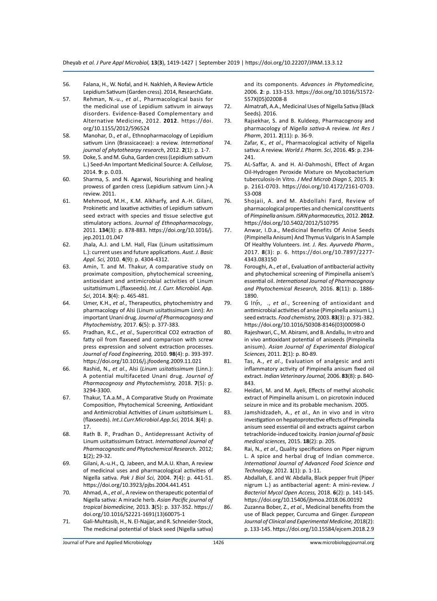- 56. Falana, H., W. Nofal, and H. Nakhleh, A Review Article Lepidium Sativum (Garden cress). 2014, ResearchGate.
- 57. Rehman, N.-u., *et al*., Pharmacological basis for the medicinal use of Lepidium sativum in airways disorders. Evidence-Based Complementary and Alternative Medicine, 2012. **2012**. https://doi. org/10.1155/2012/596524
- 58. Manohar, D., *et al*., Ethnopharmacology of Lepidium sativum Linn (Brassicaceae): a review. *International journal of phytothearpy research*, 2012. **2**(1): p. 1-7.
- 59. Doke, S. and M. Guha, Garden cress (Lepidium sativum L.) Seed-An Important Medicinal Source: A. *Cellulose,*  2014. **9**: p. 0.03.
- 60. Sharma, S. and N. Agarwal, Nourishing and healing prowess of garden cress (Lepidium sativum Linn.)-A review. 2011.
- 61. Mehmood, M.H., K.M. Alkharfy, and A.-H. Gilani, Prokinetic and laxative activities of Lepidium sativum seed extract with species and tissue selective gut stimulatory actions. *Journal of Ethnopharmacology*, 2011. **134**(3): p. 878-883. https://doi.org/10.1016/j. jep.2011.01.047
- 62. Jhala, A.J. and L.M. Hall, Flax (Linum usitatissimum L.): current uses and future applications. *Aust. J. Basic Appl. Sci,* 2010. **4**(9): p. 4304-4312.
- 63. Amin, T. and M. Thakur, A comparative study on proximate composition, phytochemical screening, antioxidant and antimicrobial activities of Linum usitatisimum L.(flaxseeds). *Int. J. Curr. Microbiol. App. Sci*, 2014. **3**(4): p. 465-481.
- 64. Umer, K.H., *et al*., Therapeutics, phytochemistry and pharmacology of Alsi (Linum usitatissimum Linn): An important Unani drug. *Journal of Pharmacognosy and Phytochemistry,* 2017. **6**(5): p. 377-383.
- 65. Pradhan, R.C., *et al*., Supercritical CO2 extraction of fatty oil from flaxseed and comparison with screw press expression and solvent extraction processes. *Journal of Food Engineering,* 2010. **98**(4): p. 393-397. https://doi.org/10.1016/j.jfoodeng.2009.11.021
- 66. Rashid, N., *et al*., Alsi (*Linum usitatissimum* (Linn.): A potential multifaceted Unani drug. *Journal of Pharmacognosy and Phytochemistry,* 2018. **7**(5): p. 3294-3300.
- 67. Thakur, T.A.a.M., A Comparative Study on Proximate Composition, Phytochemical Screening, Antioxidant and Antimicrobial Activities of *Linum usitatisimum* L. (flaxseeds). *Int.J.Curr.Microbiol.App.Sci,* 2014. **3**(4): p. 17.
- 68. Rath B. P., Pradhan D., Antidepressant Activity of Linum usitatissimum Extract. *International Journal of Pharmacognostic and Phytochemical Research*. 2012; **1**(2); 29-32.
- 69. Gilani, A.-u.H., Q. Jabeen, and M.A.U. Khan, A review of medicinal uses and pharmacological activities of Nigella sativa. *Pak J Biol Sci,* 2004. **7**(4): p. 441-51. https://doi.org/10.3923/pjbs.2004.441.451
- 70. Ahmad, A., *et al*., A review on therapeutic potential of Nigella sativa: A miracle herb. *Asian Pacific journal of tropical biomedicine,* 2013. **3**(5): p. 337-352. https:// doi.org/10.1016/S2221-1691(13)60075-1
- 71. Gali-Muhtasib, H., N. El-Najjar, and R. Schneider-Stock, The medicinal potential of black seed (Nigella sativa)

and its components. *Advances in Phytomedicine,*  2006. **2**: p. 133-153. https://doi.org/10.1016/S1572- 557X(05)02008-8

- 72. Almatrafi, A.A., Medicinal Uses of Nigella Sativa (Black Seeds). 2016.
- 73. Rajsekhar, S. and B. Kuldeep, Pharmacognosy and pharmacology of *Nigella sativa*-A review. *Int Res J Pharm*, 2011. **2**(11): p. 36-9.
- 74. Zafar, K., *et al*., Pharmacological activity of Nigella sativa: A review. *World J. Pharm. Sci*, 2016. **45**: p. 234- 241.
- 75. AL-Saffar, A. and H. Al-Dahmoshi, Effect of Argan Oil-Hydrogen Peroxide Mixture on Mycobacterium tuberculosis-In Vitro. *J Med Microb Diagn S*, 2015. **3**: p. 2161-0703. https://doi.org/10.4172/2161-0703. S3-008
- 76. Shojaii, A. and M. Abdollahi Fard, Review of pharmacological properties and chemical constituents of *Pimpinella anisum*. *ISRN pharmaceutics,* 2012. **2012**. https://doi.org/10.5402/2012/510795
- 77. Anwar, I.D.a., Medicinal Benefits Of Anise Seeds (Pimpinella Anisum) And Thymus Vulgaris In A Sample Of Healthy Volunteers. *Int. J. Res. Ayurveda Pharm.,*  2017. **8**(3): p. 6. https://doi.org/10.7897/2277- 4343.083150
- 78. Foroughi, A., *et al*., Evaluation of antibacterial activity and phytochemical screening of Pimpinella anisem's essential oil. *International Journal of Pharmacognosy and Phytochemical Research,* 2016. **8**(11): p. 1886- 1890.
- 79. G Inn, ., et al., Screening of antioxidant and antimicrobial activities of anise (Pimpinella anisum L.) seed extracts. *Food chemistry,* 2003. **83**(3): p. 371-382. https://doi.org/10.1016/S0308-8146(03)00098-0
- 80. Rajeshwari, C., M. Abirami, and B. Andallu, In vitro and in vivo antioxidant potential of aniseeds (Pimpinella anisum). *Asian Journal of Experimental Biological Sciences*, 2011. **2**(1): p. 80-89.
- 81. Tas, A., *et al*., Evaluation of analgesic and anti inflammatory activity of Pimpinella anisum fixed oil extract. *Indian Veterinary Journal,* 2006. **83**(8): p. 840- 843.
- 82. Heidari, M. and M. Ayeli, Effects of methyl alcoholic extract of Pimpinella anisum L. on picrotoxin induced seizure in mice and its probable mechanism. 2005.
- 83. Jamshidzadeh, A., *et al*., An in vivo and in vitro investigation on hepatoprotective effects of Pimpinella anisum seed essential oil and extracts against carbon tetrachloride-induced toxicity. *Iranian journal of basic medical sciences,* 2015. **18**(2): p. 205.
- 84. Rai, N., *et al*., Quality specifications on Piper nigrum L. A spice and herbal drug of Indian commerce. *International Journal of Advanced Food Science and Technology,* 2012. **1**(1): p. 1-11.
- 85. Abdallah, E. and W. Abdalla, Black pepper fruit (Piper nigrum L.) as antibacterial agent: A mini-review. *J Bacteriol Mycol Open Access,* 2018. **6**(2): p. 141-145. https://doi.org/10.15406/jbmoa.2018.06.00192
- 86. Zuzanna Bober, Z., *et al*., Medicinal benefits from the use of Black pepper, Curcuma and Ginger. *European Journal of Clinical and Experimental Medicine,* 2018(2): p. 133-145. https://doi.org/10.15584/ejcem.2018.2.9

Journal of Pure and Applied Microbiology

1426 www.microbiologyjournal.org